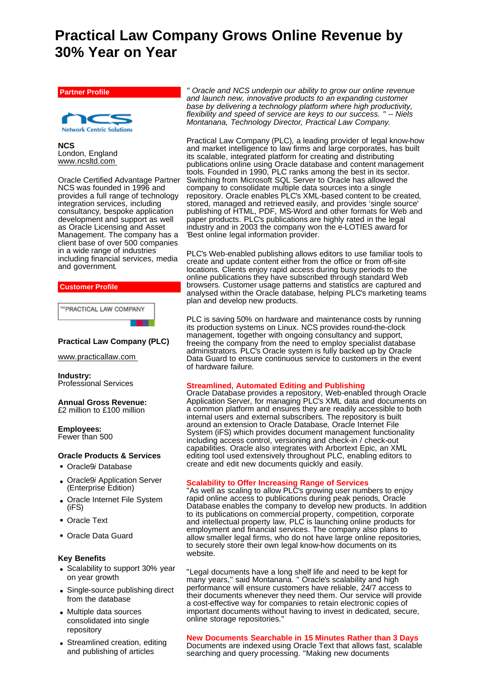# **Practical Law Company Grows Online Revenue by 30% Year on Year**

**Partner Profile**



**NCS** London, England www.ncsltd.com

Oracle Certified Advantage Partner NCS was founded in 1996 and provides a full range of technology integration services, including consultancy, bespoke application development and support as well as Oracle Licensing and Asset Management. The company has a client base of over 500 companies in a wide range of industries including financial services, media and government.



**"PRACTICAL LAW COMPANY** 

# **Practical Law Company (PLC)**

www.practicallaw.com

**Industry:** Professional Services

**Annual Gross Revenue:** £2 million to £100 million

**Employees:** Fewer than 500

## **Oracle Products & Services**

- Oracle9*i* Database
- Oracle9*i* Application Server (Enterprise Edition)
- Oracle Internet File System (iFS)
- Oracle Text
- Oracle Data Guard

# **Key Benefits**

- Scalability to support 30% year on year growth
- Single-source publishing direct from the database
- Multiple data sources consolidated into single repository
- Streamlined creation, editing and publishing of articles

*" Oracle and NCS underpin our ability to grow our online revenue and launch new, innovative products to an expanding customer base by delivering a technology platform where high productivity, flexibility and speed of service are keys to our success. " -- Niels Montanana, Technology Director, Practical Law Company.*

Practical Law Company (PLC), a leading provider of legal know-how and market intelligence to law firms and large corporates, has built its scalable, integrated platform for creating and distributing publications online using Oracle database and content management tools. Founded in 1990, PLC ranks among the best in its sector. Switching from Microsoft SQL Server to Oracle has allowed the company to consolidate multiple data sources into a single repository. Oracle enables PLC's XML-based content to be created, stored, managed and retrieved easily, and provides 'single source' publishing of HTML, PDF, MS-Word and other formats for Web and paper products. PLC's publications are highly rated in the legal industry and in 2003 the company won the e-LOTIES award for 'Best online legal information provider.

PLC's Web-enabled publishing allows editors to use familiar tools to create and update content either from the office or from off-site locations. Clients enjoy rapid access during busy periods to the online publications they have subscribed through standard Web browsers. Customer usage patterns and statistics are captured and analysed within the Oracle database, helping PLC's marketing teams plan and develop new products.

PLC is saving 50% on hardware and maintenance costs by running its production systems on Linux. NCS provides round-the-clock management, together with ongoing consultancy and support, freeing the company from the need to employ specialist database administrators. PLC's Oracle system is fully backed up by Oracle Data Guard to ensure continuous service to customers in the event of hardware failure.

# **Streamlined, Automated Editing and Publishing**

Oracle Database provides a repository, Web-enabled through Oracle Application Server, for managing PLC's XML data and documents on a common platform and ensures they are readily accessible to both internal users and external subscribers. The repository is built around an extension to Oracle Database, Oracle Internet File System (iFS) which provides document management functionality including access control, versioning and check-in / check-out capabilities. Oracle also integrates with Arbortext Epic, an XML editing tool used extensively throughout PLC, enabling editors to create and edit new documents quickly and easily.

# **Scalability to Offer Increasing Range of Services**

"As well as scaling to allow PLC's growing user numbers to enjoy rapid online access to publications during peak periods, Oracle Database enables the company to develop new products. In addition to its publications on commercial property, competition, corporate and intellectual property law, PLC is launching online products for employment and financial services. The company also plans to allow smaller legal firms, who do not have large online repositories, to securely store their own legal know-how documents on its website.

"Legal documents have a long shelf life and need to be kept for many years," said Montanana. " Oracle's scalability and high performance will ensure customers have reliable, 24/7 access to their documents whenever they need them. Our service will provide a cost-effective way for companies to retain electronic copies of important documents without having to invest in dedicated, secure, online storage repositories."

# **New Documents Searchable in 15 Minutes Rather than 3 Days**

Documents are indexed using Oracle Text that allows fast, scalable searching and query processing. "Making new documents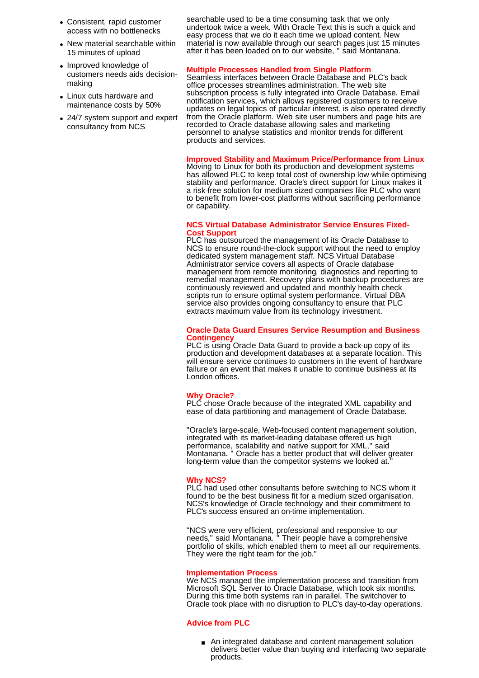- Consistent, rapid customer access with no bottlenecks
- New material searchable within 15 minutes of upload
- Improved knowledge of customers needs aids decisionmaking
- Linux cuts hardware and maintenance costs by 50%
- 24/7 system support and expert consultancy from NCS

searchable used to be a time consuming task that we only undertook twice a week. With Oracle Text this is such a quick and easy process that we do it each time we upload content. New material is now available through our search pages just 15 minutes after it has been loaded on to our website, " said Montanana.

## **Multiple Processes Handled from Single Platform**

Seamless interfaces between Oracle Database and PLC's back office processes streamlines administration. The web site subscription process is fully integrated into Oracle Database. Email notification services, which allows registered customers to receive updates on legal topics of particular interest, is also operated directly from the Oracle platform. Web site user numbers and page hits are recorded to Oracle database allowing sales and marketing personnel to analyse statistics and monitor trends for different products and services.

# **Improved Stability and Maximum Price/Performance from Linux**

Moving to Linux for both its production and development systems has allowed PLC to keep total cost of ownership low while optimising stability and performance. Oracle's direct support for Linux makes it a risk-free solution for medium sized companies like PLC who want to benefit from lower-cost platforms without sacrificing performance or capability.

## **NCS Virtual Database Administrator Service Ensures Fixed-Cost Support**

PLC has outsourced the management of its Oracle Database to NCS to ensure round-the-clock support without the need to employ dedicated system management staff. NCS Virtual Database Administrator service covers all aspects of Oracle database management from remote monitoring, diagnostics and reporting to remedial management. Recovery plans with backup procedures are continuously reviewed and updated and monthly health check scripts run to ensure optimal system performance. Virtual DBA service also provides ongoing consultancy to ensure that PLC extracts maximum value from its technology investment.

## **Oracle Data Guard Ensures Service Resumption and Business Contingency**

PLC is using Oracle Data Guard to provide a back-up copy of its production and development databases at a separate location. This will ensure service continues to customers in the event of hardware failure or an event that makes it unable to continue business at its London offices.

### **Why Oracle?**

PLC chose Oracle because of the integrated XML capability and ease of data partitioning and management of Oracle Database.

"Oracle's large-scale, Web-focused content management solution, integrated with its market-leading database offered us high performance, scalability and native support for XML," said Montanana. " Oracle has a better product that will deliver greater long-term value than the competitor systems we looked at.

# **Why NCS?**

PLC had used other consultants before switching to NCS whom it found to be the best business fit for a medium sized organisation. NCS's knowledge of Oracle technology and their commitment to PLC's success ensured an on-time implementation.

"NCS were very efficient, professional and responsive to our needs," said Montanana. " Their people have a comprehensive portfolio of skills, which enabled them to meet all our requirements. They were the right team for the job."

### **Implementation Process**

We NCS managed the implementation process and transition from Microsoft SQL Server to Oracle Database, which took six months. During this time both systems ran in parallel. The switchover to Oracle took place with no disruption to PLC's day-to-day operations.

## **Advice from PLC**

An integrated database and content management solution delivers better value than buying and interfacing two separate products.